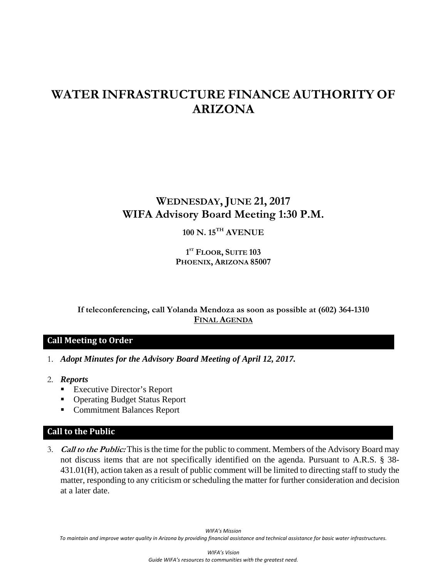# **WATER INFRASTRUCTURE FINANCE AUTHORITY OF ARIZONA**

# **WEDNESDAY, JUNE 21, 2017 WIFA Advisory Board Meeting 1:30 P.M.**

## **100 N. 15TH AVENUE**

**1 ST FLOOR, SUITE 103 PHOENIX, ARIZONA 85007** 

**If teleconferencing, call Yolanda Mendoza as soon as possible at (602) 364-1310 FINAL AGENDA**

#### **Call Meeting to Order**

- 1. *Adopt Minutes for the Advisory Board Meeting of April 12, 2017.*
- 2. *Reports* 
	- Executive Director's Report
	- Operating Budget Status Report
	- Commitment Balances Report

#### **Call to the Public**

3. **Call to the Public:** This is the time for the public to comment. Members of the Advisory Board may not discuss items that are not specifically identified on the agenda. Pursuant to A.R.S. § 38- 431.01(H), action taken as a result of public comment will be limited to directing staff to study the matter, responding to any criticism or scheduling the matter for further consideration and decision at a later date.

*WIFA's Mission* To maintain and improve water quality in Arizona by providing financial assistance and technical assistance for basic water infrastructures.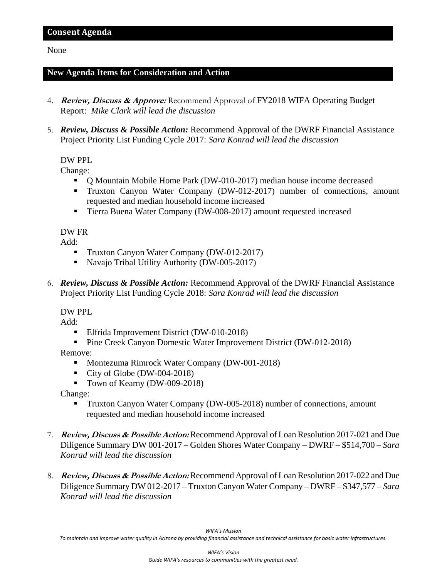#### None

#### **New Agenda Items for Consideration and Action**

- 4. **Review, Discuss & Approve:** Recommend Approval of FY2018 WIFA Operating Budget Report: *Mike Clark will lead the discussion*
- 5. *Review, Discuss & Possible Action:* Recommend Approval of the DWRF Financial Assistance Project Priority List Funding Cycle 2017: *Sara Konrad will lead the discussion*

#### DW PPL

Change:

- Q Mountain Mobile Home Park (DW-010-2017) median house income decreased
- Truxton Canyon Water Company (DW-012-2017) number of connections, amount requested and median household income increased
- Tierra Buena Water Company (DW-008-2017) amount requested increased

#### DW FR

Add:

- Truxton Canyon Water Company (DW-012-2017)
- Navajo Tribal Utility Authority (DW-005-2017)
- 6. *Review, Discuss & Possible Action:* Recommend Approval of the DWRF Financial Assistance Project Priority List Funding Cycle 2018: *Sara Konrad will lead the discussion*

DW PPL

Add:

- **Elfrida Improvement District (DW-010-2018)**
- **Pine Creek Canyon Domestic Water Improvement District (DW-012-2018)**

Remove:

- Montezuma Rimrock Water Company (DW-001-2018)
- City of Globe (DW-004-2018)
- Town of Kearny (DW-009-2018)

Change:

- Truxton Canyon Water Company (DW-005-2018) number of connections, amount requested and median household income increased
- 7. **Review, Discuss & Possible Action:** Recommend Approval of Loan Resolution 2017-021 and Due Diligence Summary DW 001-2017 – Golden Shores Water Company – DWRF – \$514,700 *– Sara Konrad will lead the discussion*
- 8. **Review, Discuss & Possible Action:** Recommend Approval of Loan Resolution 2017-022 and Due Diligence Summary DW 012-2017 – Truxton Canyon Water Company – DWRF – \$347,577 *– Sara Konrad will lead the discussion*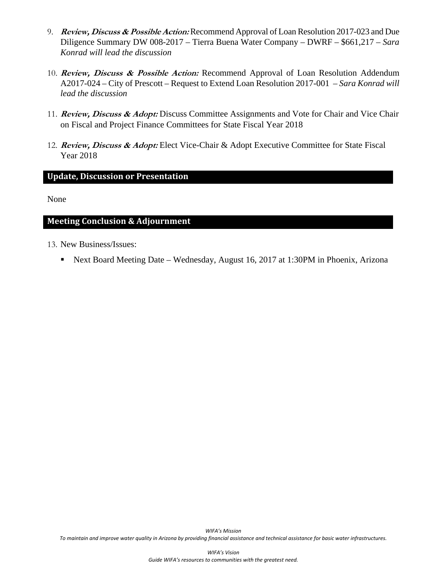- 9. **Review, Discuss & Possible Action:** Recommend Approval of Loan Resolution 2017-023 and Due Diligence Summary DW 008-2017 – Tierra Buena Water Company – DWRF – \$661,217 *– Sara Konrad will lead the discussion*
- 10. **Review, Discuss & Possible Action:** Recommend Approval of Loan Resolution Addendum A2017-024 – City of Prescott – Request to Extend Loan Resolution 2017-001 *– Sara Konrad will lead the discussion*
- 11. **Review, Discuss & Adopt:** Discuss Committee Assignments and Vote for Chair and Vice Chair on Fiscal and Project Finance Committees for State Fiscal Year 2018
- 12. **Review, Discuss & Adopt:** Elect Vice-Chair & Adopt Executive Committee for State Fiscal Year 2018

#### **Update, Discussion or Presentation**

None

#### **Meeting Conclusion & Adjournment**

- 13. New Business/Issues:
	- Next Board Meeting Date Wednesday, August 16, 2017 at 1:30PM in Phoenix, Arizona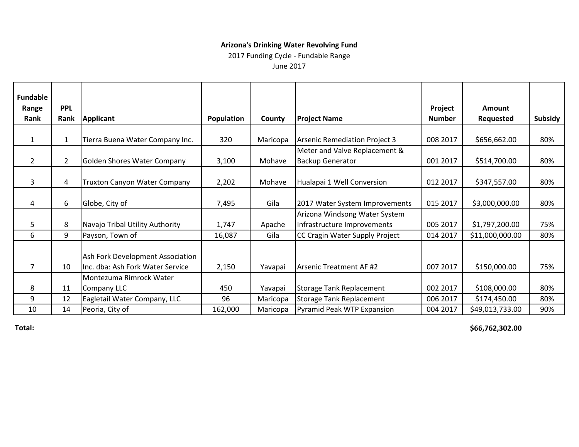2017 Funding Cycle - Fundable Range

June 2017

| Fundable       |                |                                     |            |          |                                      |               |                  |         |
|----------------|----------------|-------------------------------------|------------|----------|--------------------------------------|---------------|------------------|---------|
| Range          | <b>PPL</b>     |                                     |            |          |                                      | Project       | <b>Amount</b>    |         |
| Rank           | Rank           | <b>Applicant</b>                    | Population | County   | <b>Project Name</b>                  | <b>Number</b> | <b>Requested</b> | Subsidy |
|                |                |                                     |            |          |                                      |               |                  |         |
| 1              | $\mathbf{1}$   | Tierra Buena Water Company Inc.     | 320        | Maricopa | <b>Arsenic Remediation Project 3</b> | 008 2017      | \$656,662.00     | 80%     |
|                |                |                                     |            |          | Meter and Valve Replacement &        |               |                  |         |
| $\overline{2}$ | $\overline{2}$ | Golden Shores Water Company         | 3,100      | Mohave   | <b>Backup Generator</b>              | 001 2017      | \$514,700.00     | 80%     |
|                |                |                                     |            |          |                                      |               |                  |         |
| 3              | 4              | <b>Truxton Canyon Water Company</b> | 2,202      | Mohave   | Hualapai 1 Well Conversion           | 012 2017      | \$347,557.00     | 80%     |
|                |                |                                     |            |          |                                      |               |                  |         |
| 4              | 6              | Globe, City of                      | 7,495      | Gila     | 2017 Water System Improvements       | 015 2017      | \$3,000,000.00   | 80%     |
|                |                |                                     |            |          | Arizona Windsong Water System        |               |                  |         |
| 5              | 8              | Navajo Tribal Utility Authority     | 1,747      | Apache   | Infrastructure Improvements          | 005 2017      | \$1,797,200.00   | 75%     |
| 6              | 9              | Payson, Town of                     | 16,087     | Gila     | CC Cragin Water Supply Project       | 014 2017      | \$11,000,000.00  | 80%     |
|                |                |                                     |            |          |                                      |               |                  |         |
|                |                | Ash Fork Development Association    |            |          |                                      |               |                  |         |
| 7              | 10             | Inc. dba: Ash Fork Water Service    | 2,150      | Yavapai  | <b>Arsenic Treatment AF#2</b>        | 007 2017      | \$150,000.00     | 75%     |
|                |                | Montezuma Rimrock Water             |            |          |                                      |               |                  |         |
| 8              | 11             | Company LLC                         | 450        | Yavapai  | <b>Storage Tank Replacement</b>      | 002 2017      | \$108,000.00     | 80%     |
| 9              | 12             | Eagletail Water Company, LLC        | 96         | Maricopa | <b>Storage Tank Replacement</b>      | 006 2017      | \$174,450.00     | 80%     |
| 10             | 14             | Peoria, City of                     | 162,000    | Maricopa | Pyramid Peak WTP Expansion           | 004 2017      | \$49,013,733.00  | 90%     |

**Total: \$66,762,302.00**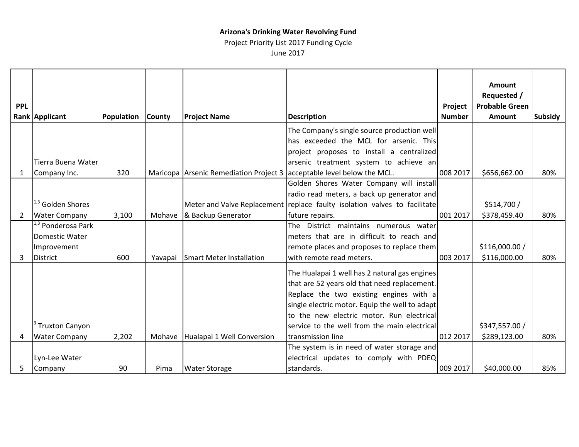Project Priority List 2017 Funding Cycle

June 2017

|              |                              |            |         |                                        |                                                                           |               | <b>Amount</b>         |                |
|--------------|------------------------------|------------|---------|----------------------------------------|---------------------------------------------------------------------------|---------------|-----------------------|----------------|
|              |                              |            |         |                                        |                                                                           |               | Requested /           |                |
| <b>PPL</b>   |                              |            |         |                                        |                                                                           | Project       | <b>Probable Green</b> |                |
|              | <b>Rank Applicant</b>        | Population | County  | <b>Project Name</b>                    | <b>Description</b>                                                        | <b>Number</b> | <b>Amount</b>         | <b>Subsidy</b> |
|              |                              |            |         |                                        | The Company's single source production well                               |               |                       |                |
|              |                              |            |         |                                        | has exceeded the MCL for arsenic. This                                    |               |                       |                |
|              |                              |            |         |                                        | project proposes to install a centralized                                 |               |                       |                |
|              | Tierra Buena Water           |            |         |                                        | arsenic treatment system to achieve an                                    |               |                       |                |
| $\mathbf{1}$ | Company Inc.                 | 320        |         | Maricopa Arsenic Remediation Project 3 | acceptable level below the MCL.                                           | 008 2017      | \$656,662.00          | 80%            |
|              |                              |            |         |                                        | Golden Shores Water Company will install                                  |               |                       |                |
|              |                              |            |         |                                        | radio read meters, a back up generator and                                |               |                       |                |
|              | 1,3 Golden Shores            |            |         |                                        | Meter and Valve Replacement replace faulty isolation valves to facilitate |               | \$514,700/            |                |
| 2            | <b>Water Company</b>         | 3,100      | Mohave  | & Backup Generator                     | future repairs.                                                           | 001 2017      | \$378,459.40          | 80%            |
|              | <sup>,3</sup> Ponderosa Park |            |         |                                        | The<br>District maintains numerous water                                  |               |                       |                |
|              | Domestic Water               |            |         |                                        | meters that are in difficult to reach and                                 |               |                       |                |
|              | Improvement                  |            |         |                                        | remote places and proposes to replace them                                |               | \$116,000.00/         |                |
| 3            | <b>District</b>              | 600        | Yavapai | <b>Smart Meter Installation</b>        | with remote read meters.                                                  | 003 2017      | \$116,000.00          | 80%            |
|              |                              |            |         |                                        | The Hualapai 1 well has 2 natural gas engines                             |               |                       |                |
|              |                              |            |         |                                        | that are 52 years old that need replacement.                              |               |                       |                |
|              |                              |            |         |                                        | Replace the two existing engines with a                                   |               |                       |                |
|              |                              |            |         |                                        | single electric motor. Equip the well to adapt                            |               |                       |                |
|              |                              |            |         |                                        | to the new electric motor. Run electrical                                 |               |                       |                |
|              | <sup>3</sup> Truxton Canyon  |            |         |                                        | service to the well from the main electrical                              |               | \$347,557.00 /        |                |
| 4            | <b>Water Company</b>         | 2,202      |         | Mohave Hualapai 1 Well Conversion      | transmission line                                                         | 012 2017      | \$289,123.00          | 80%            |
|              |                              |            |         |                                        | The system is in need of water storage and                                |               |                       |                |
|              | Lyn-Lee Water                |            |         |                                        | electrical updates to comply with PDEQ                                    |               |                       |                |
| 5            | Company                      | 90         | Pima    | <b>Water Storage</b>                   | standards.                                                                | 009 2017      | \$40,000.00           | 85%            |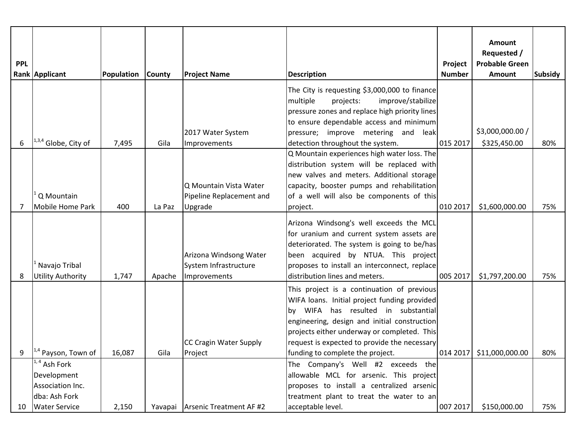|            |                                                                                             |            |               |                                                                 |                                                                                                                                                                                                                                                                                  |               | Amount<br>Requested /    |                |
|------------|---------------------------------------------------------------------------------------------|------------|---------------|-----------------------------------------------------------------|----------------------------------------------------------------------------------------------------------------------------------------------------------------------------------------------------------------------------------------------------------------------------------|---------------|--------------------------|----------------|
| <b>PPL</b> |                                                                                             |            |               |                                                                 |                                                                                                                                                                                                                                                                                  | Project       | <b>Probable Green</b>    |                |
|            | Rank Applicant                                                                              | Population | <b>County</b> | <b>Project Name</b>                                             | <b>Description</b>                                                                                                                                                                                                                                                               | <b>Number</b> | Amount                   | <b>Subsidy</b> |
|            |                                                                                             |            |               | 2017 Water System                                               | The City is requesting \$3,000,000 to finance<br>multiple<br>improve/stabilize<br>projects:<br>pressure zones and replace high priority lines<br>to ensure dependable access and minimum<br>pressure; improve metering and leak                                                  |               | \$3,000,000.00 /         |                |
| 6          | $1^{1,3,4}$ Globe, City of                                                                  | 7,495      | Gila          | Improvements                                                    | detection throughout the system.                                                                                                                                                                                                                                                 | 015 2017      | \$325,450.00             | 80%            |
| 7          | Q Mountain<br><b>Mobile Home Park</b>                                                       | 400        | La Paz        | Q Mountain Vista Water<br>Pipeline Replacement and<br>Upgrade   | Q Mountain experiences high water loss. The<br>distribution system will be replaced with<br>new valves and meters. Additional storage<br>capacity, booster pumps and rehabilitation<br>of a well will also be components of this<br>project.                                     | 010 2017      | \$1,600,000.00           | 75%            |
|            |                                                                                             |            |               |                                                                 |                                                                                                                                                                                                                                                                                  |               |                          |                |
| 8          | Navajo Tribal<br><b>Utility Authority</b>                                                   | 1,747      | Apache        | Arizona Windsong Water<br>System Infrastructure<br>Improvements | Arizona Windsong's well exceeds the MCL<br>for uranium and current system assets are<br>deteriorated. The system is going to be/has<br>been acquired by NTUA. This project<br>proposes to install an interconnect, replace<br>distribution lines and meters.                     | 005 2017      | \$1,797,200.00           | 75%            |
|            |                                                                                             |            |               | CC Cragin Water Supply                                          | This project is a continuation of previous<br>WIFA loans. Initial project funding provided<br>by WIFA has resulted in substantial<br>engineering, design and initial construction<br>projects either underway or completed. This<br>request is expected to provide the necessary |               |                          |                |
| Q          | <sup>1,4</sup> Payson, Town of                                                              | 16,087     | Gila          | Project                                                         | funding to complete the project.                                                                                                                                                                                                                                                 |               | 014 2017 \$11,000,000.00 | 80%            |
| 10         | $1, 4$ Ash Fork<br>Development<br>Association Inc.<br>dba: Ash Fork<br><b>Water Service</b> | 2,150      |               | Yavapai Arsenic Treatment AF #2                                 | The Company's Well #2 exceeds the<br>allowable MCL for arsenic. This project<br>proposes to install a centralized arsenic<br>treatment plant to treat the water to an<br>acceptable level.                                                                                       | 007 2017      | \$150,000.00             | 75%            |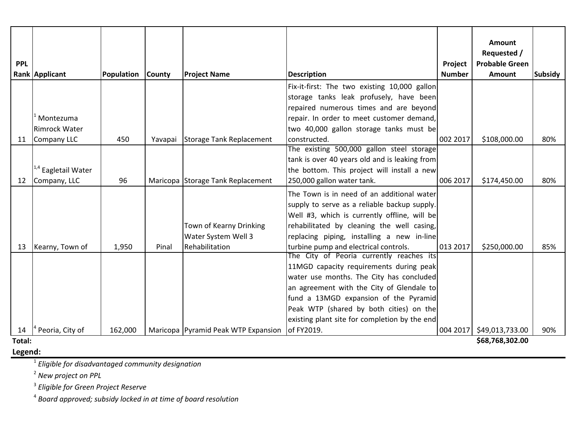|            |                                |            |         |                                     |                                                                                     |                          | Amount                               |                |
|------------|--------------------------------|------------|---------|-------------------------------------|-------------------------------------------------------------------------------------|--------------------------|--------------------------------------|----------------|
|            |                                |            |         |                                     |                                                                                     |                          | Requested /<br><b>Probable Green</b> |                |
| <b>PPL</b> |                                | Population | County  | <b>Project Name</b>                 | <b>Description</b>                                                                  | Project<br><b>Number</b> | Amount                               | <b>Subsidy</b> |
|            | Rank Applicant                 |            |         |                                     |                                                                                     |                          |                                      |                |
|            |                                |            |         |                                     | Fix-it-first: The two existing 10,000 gallon                                        |                          |                                      |                |
|            |                                |            |         |                                     | storage tanks leak profusely, have been                                             |                          |                                      |                |
|            | Montezuma                      |            |         |                                     | repaired numerous times and are beyond<br>repair. In order to meet customer demand, |                          |                                      |                |
|            | <b>Rimrock Water</b>           |            |         |                                     | two 40,000 gallon storage tanks must be                                             |                          |                                      |                |
| 11         | Company LLC                    | 450        | Yavapai | Storage Tank Replacement            | constructed.                                                                        | 002 2017                 | \$108,000.00                         | 80%            |
|            |                                |            |         |                                     | The existing 500,000 gallon steel storage                                           |                          |                                      |                |
|            |                                |            |         |                                     | tank is over 40 years old and is leaking from                                       |                          |                                      |                |
|            | <sup>1,4</sup> Eagletail Water |            |         |                                     | the bottom. This project will install a new                                         |                          |                                      |                |
| 12         | Company, LLC                   | 96         |         | Maricopa Storage Tank Replacement   | 250,000 gallon water tank.                                                          | 006 2017                 | \$174,450.00                         | 80%            |
|            |                                |            |         |                                     | The Town is in need of an additional water                                          |                          |                                      |                |
|            |                                |            |         |                                     | supply to serve as a reliable backup supply.                                        |                          |                                      |                |
|            |                                |            |         |                                     | Well #3, which is currently offline, will be                                        |                          |                                      |                |
|            |                                |            |         | Town of Kearny Drinking             | rehabilitated by cleaning the well casing,                                          |                          |                                      |                |
|            |                                |            |         | Water System Well 3                 | replacing piping, installing a new in-line                                          |                          |                                      |                |
| 13         | Kearny, Town of                | 1,950      | Pinal   | Rehabilitation                      | turbine pump and electrical controls.                                               | 013 2017                 | \$250,000.00                         | 85%            |
|            |                                |            |         |                                     | The City of Peoria currently reaches its                                            |                          |                                      |                |
|            |                                |            |         |                                     | 11MGD capacity requirements during peak                                             |                          |                                      |                |
|            |                                |            |         |                                     | water use months. The City has concluded                                            |                          |                                      |                |
|            |                                |            |         |                                     | an agreement with the City of Glendale to                                           |                          |                                      |                |
|            |                                |            |         |                                     | fund a 13MGD expansion of the Pyramid                                               |                          |                                      |                |
|            |                                |            |         |                                     | Peak WTP (shared by both cities) on the                                             |                          |                                      |                |
|            |                                |            |         |                                     | existing plant site for completion by the end                                       |                          |                                      |                |
| 14         | Peoria, City of                | 162,000    |         | Maricopa Pyramid Peak WTP Expansion | of FY2019.                                                                          | 004 2017                 | \$49,013,733.00                      | 90%            |
| Total:     |                                |            |         |                                     |                                                                                     |                          | \$68,768,302.00                      |                |

**Legend:**

<sup>1</sup> *Eligible for disadvantaged community designation*

<sup>2</sup> *New project on PPL*

<sup>3</sup> *Eligible for Green Project Reserve*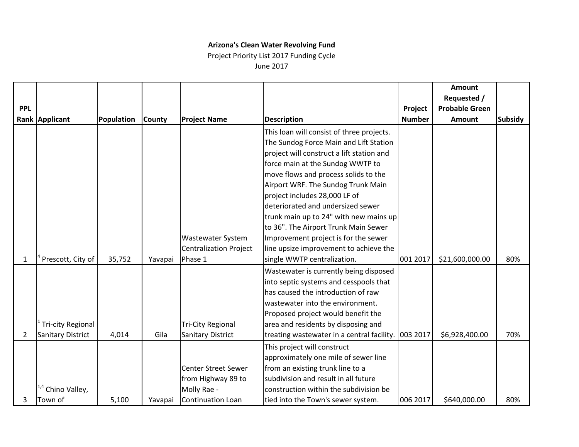Project Priority List 2017 Funding Cycle June 2017

|                |                          |            |               |                               |                                            |               | <b>Amount</b>         |                |
|----------------|--------------------------|------------|---------------|-------------------------------|--------------------------------------------|---------------|-----------------------|----------------|
|                |                          |            |               |                               |                                            |               | Requested /           |                |
| <b>PPL</b>     |                          |            |               |                               |                                            | Project       | <b>Probable Green</b> |                |
|                | Rank Applicant           | Population | <b>County</b> | <b>Project Name</b>           | <b>Description</b>                         | <b>Number</b> | <b>Amount</b>         | <b>Subsidy</b> |
|                |                          |            |               |                               | This loan will consist of three projects.  |               |                       |                |
|                |                          |            |               |                               | The Sundog Force Main and Lift Station     |               |                       |                |
|                |                          |            |               |                               | project will construct a lift station and  |               |                       |                |
|                |                          |            |               |                               | force main at the Sundog WWTP to           |               |                       |                |
|                |                          |            |               |                               | move flows and process solids to the       |               |                       |                |
|                |                          |            |               |                               | Airport WRF. The Sundog Trunk Main         |               |                       |                |
|                |                          |            |               |                               | project includes 28,000 LF of              |               |                       |                |
|                |                          |            |               |                               | deteriorated and undersized sewer          |               |                       |                |
|                |                          |            |               |                               | trunk main up to 24" with new mains up     |               |                       |                |
|                |                          |            |               |                               | to 36". The Airport Trunk Main Sewer       |               |                       |                |
|                |                          |            |               | Wastewater System             | Improvement project is for the sewer       |               |                       |                |
|                |                          |            |               | <b>Centralization Project</b> | line upsize improvement to achieve the     |               |                       |                |
| 1              | Prescott, City of        | 35,752     | Yavapai       | Phase 1                       | single WWTP centralization.                | 001 2017      | \$21,600,000.00       | 80%            |
|                |                          |            |               |                               | Wastewater is currently being disposed     |               |                       |                |
|                |                          |            |               |                               | into septic systems and cesspools that     |               |                       |                |
|                |                          |            |               |                               | has caused the introduction of raw         |               |                       |                |
|                |                          |            |               |                               | wastewater into the environment.           |               |                       |                |
|                |                          |            |               |                               | Proposed project would benefit the         |               |                       |                |
|                | <b>Tri-city Regional</b> |            |               | <b>Tri-City Regional</b>      | area and residents by disposing and        |               |                       |                |
| $\overline{2}$ | <b>Sanitary District</b> | 4,014      | Gila          | <b>Sanitary District</b>      | treating wastewater in a central facility. | 003 2017      | \$6,928,400.00        | 70%            |
|                |                          |            |               |                               | This project will construct                |               |                       |                |
|                |                          |            |               |                               | approximately one mile of sewer line       |               |                       |                |
|                |                          |            |               | <b>Center Street Sewer</b>    | from an existing trunk line to a           |               |                       |                |
|                |                          |            |               | from Highway 89 to            | subdivision and result in all future       |               |                       |                |
|                | Chino Valley,            |            |               | Molly Rae -                   | construction within the subdivision be     |               |                       |                |
| 3              | Town of                  | 5,100      | Yavapai       | <b>Continuation Loan</b>      | tied into the Town's sewer system.         | 006 2017      | \$640,000.00          | 80%            |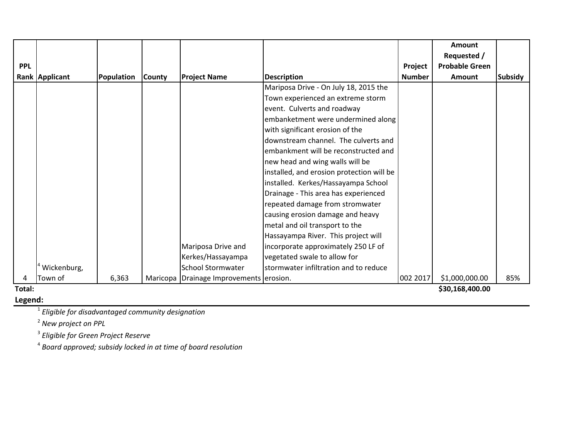|            |                |            |        |                                         |                                           |               | Amount                |                |
|------------|----------------|------------|--------|-----------------------------------------|-------------------------------------------|---------------|-----------------------|----------------|
|            |                |            |        |                                         |                                           |               | Requested /           |                |
| <b>PPL</b> |                |            |        |                                         |                                           | Project       | <b>Probable Green</b> |                |
|            | Rank Applicant | Population | County | <b>Project Name</b>                     | <b>Description</b>                        | <b>Number</b> | <b>Amount</b>         | <b>Subsidy</b> |
|            |                |            |        |                                         | Mariposa Drive - On July 18, 2015 the     |               |                       |                |
|            |                |            |        |                                         | Town experienced an extreme storm         |               |                       |                |
|            |                |            |        |                                         | event. Culverts and roadway               |               |                       |                |
|            |                |            |        |                                         | embanketment were undermined along        |               |                       |                |
|            |                |            |        |                                         | with significant erosion of the           |               |                       |                |
|            |                |            |        |                                         | downstream channel. The culverts and      |               |                       |                |
|            |                |            |        |                                         | embankment will be reconstructed and      |               |                       |                |
|            |                |            |        |                                         | new head and wing walls will be           |               |                       |                |
|            |                |            |        |                                         | installed, and erosion protection will be |               |                       |                |
|            |                |            |        |                                         | installed. Kerkes/Hassayampa School       |               |                       |                |
|            |                |            |        |                                         | Drainage - This area has experienced      |               |                       |                |
|            |                |            |        |                                         | repeated damage from stromwater           |               |                       |                |
|            |                |            |        |                                         | causing erosion damage and heavy          |               |                       |                |
|            |                |            |        |                                         | metal and oil transport to the            |               |                       |                |
|            |                |            |        |                                         | Hassayampa River. This project will       |               |                       |                |
|            |                |            |        | Mariposa Drive and                      | incorporate approximately 250 LF of       |               |                       |                |
|            |                |            |        | Kerkes/Hassayampa                       | vegetated swale to allow for              |               |                       |                |
|            | Wickenburg,    |            |        | <b>School Stormwater</b>                | stormwater infiltration and to reduce     |               |                       |                |
|            | Town of        | 6,363      |        | Maricopa Drainage Improvements erosion. |                                           | 002 2017      | \$1,000,000.00        | 85%            |
| Total:     |                |            |        |                                         |                                           |               | \$30,168,400.00       |                |

#### **Legend:**

<sup>1</sup> *Eligible for disadvantaged community designation*

<sup>2</sup> *New project on PPL*

<sup>3</sup> *Eligible for Green Project Reserve*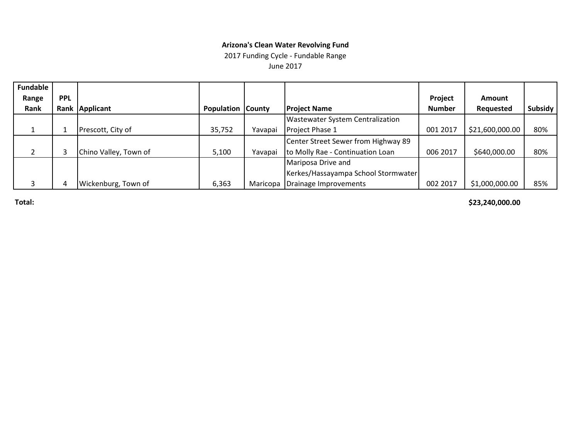2017 Funding Cycle - Fundable Range

June 2017

| <b>Fundable</b> |            |                       |                          |          |                                         |               |                 |         |
|-----------------|------------|-----------------------|--------------------------|----------|-----------------------------------------|---------------|-----------------|---------|
| Range           | <b>PPL</b> |                       |                          |          |                                         | Project       | <b>Amount</b>   |         |
| Rank            |            | Rank Applicant        | <b>Population County</b> |          | <b>Project Name</b>                     | <b>Number</b> | Requested       | Subsidy |
|                 |            |                       |                          |          | <b>Wastewater System Centralization</b> |               |                 |         |
|                 |            | Prescott, City of     | 35,752                   | Yavapai  | Project Phase 1                         | 001 2017      | \$21,600,000.00 | 80%     |
|                 |            |                       |                          |          | Center Street Sewer from Highway 89     |               |                 |         |
|                 |            | Chino Valley, Town of | 5,100                    | Yavapai  | to Molly Rae - Continuation Loan        | 006 2017      | \$640,000.00    | 80%     |
|                 |            |                       |                          |          | Mariposa Drive and                      |               |                 |         |
|                 |            |                       |                          |          | Kerkes/Hassayampa School Stormwater     |               |                 |         |
|                 |            | Wickenburg, Town of   | 6,363                    | Maricopa | Drainage Improvements                   | 002 2017      | \$1,000,000.00  | 85%     |

**Total: \$23,240,000.00**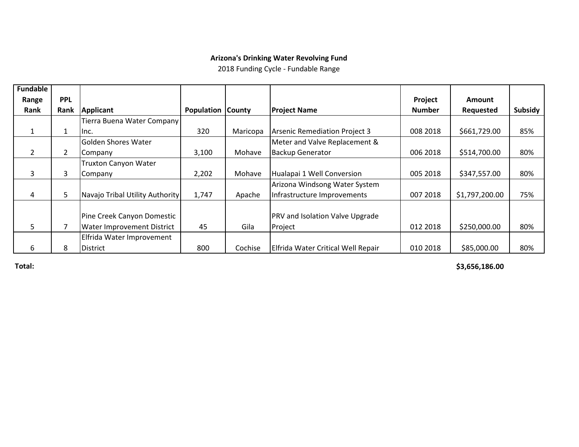2018 Funding Cycle - Fundable Range

| <b>Fundable</b> |             |                                 |                          |          |                                        |               |                |         |
|-----------------|-------------|---------------------------------|--------------------------|----------|----------------------------------------|---------------|----------------|---------|
| Range           | <b>PPL</b>  |                                 |                          |          |                                        | Project       | <b>Amount</b>  |         |
| <b>Rank</b>     | <b>Rank</b> | <b>Applicant</b>                | <b>Population County</b> |          | <b>Project Name</b>                    | <b>Number</b> | Requested      | Subsidy |
|                 |             | Tierra Buena Water Company      |                          |          |                                        |               |                |         |
| 1               | 1           | Inc.                            | 320                      | Maricopa | <b>Arsenic Remediation Project 3</b>   | 008 2018      | \$661,729.00   | 85%     |
|                 |             | Golden Shores Water             |                          |          | Meter and Valve Replacement &          |               |                |         |
| $\overline{2}$  | 2           | Company                         | 3,100                    | Mohave   | <b>Backup Generator</b>                | 006 2018      | \$514,700.00   | 80%     |
|                 |             | <b>Truxton Canyon Water</b>     |                          |          |                                        |               |                |         |
| 3               | 3           | Company                         | 2,202                    | Mohave   | Hualapai 1 Well Conversion             | 005 2018      | \$347,557.00   | 80%     |
|                 |             |                                 |                          |          | Arizona Windsong Water System          |               |                |         |
| 4               | 5           | Navajo Tribal Utility Authority | 1,747                    | Apache   | Infrastructure Improvements            | 007 2018      | \$1,797,200.00 | 75%     |
|                 |             |                                 |                          |          |                                        |               |                |         |
|                 |             | Pine Creek Canyon Domestic      |                          |          | <b>PRV and Isolation Valve Upgrade</b> |               |                |         |
| 5.              |             | Water Improvement District      | 45                       | Gila     | Project                                | 012 2018      | \$250,000.00   | 80%     |
|                 |             | Elfrida Water Improvement       |                          |          |                                        |               |                |         |
| 6               | 8           | District                        | 800                      | Cochise  | Elfrida Water Critical Well Repair     | 010 2018      | \$85,000.00    | 80%     |

**Total: \$3,656,186.00**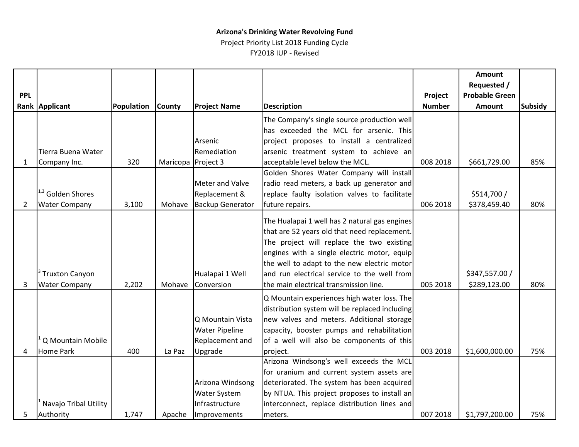Project Priority List 2018 Funding Cycle FY2018 IUP - Revised

|            |                              |            |                    |                         |                                                |               | Amount                |                |
|------------|------------------------------|------------|--------------------|-------------------------|------------------------------------------------|---------------|-----------------------|----------------|
|            |                              |            |                    |                         |                                                |               | Requested /           |                |
| <b>PPL</b> |                              |            |                    |                         |                                                | Project       | <b>Probable Green</b> |                |
|            | Rank Applicant               | Population | <b>County</b>      | <b>Project Name</b>     | <b>Description</b>                             | <b>Number</b> | <b>Amount</b>         | <b>Subsidy</b> |
|            |                              |            |                    |                         | The Company's single source production well    |               |                       |                |
|            |                              |            |                    |                         | has exceeded the MCL for arsenic. This         |               |                       |                |
|            |                              |            |                    | Arsenic                 | project proposes to install a centralized      |               |                       |                |
|            | Tierra Buena Water           |            |                    | Remediation             | arsenic treatment system to achieve an         |               |                       |                |
| 1          | Company Inc.                 | 320        | Maricopa Project 3 |                         | acceptable level below the MCL.                | 008 2018      | \$661,729.00          | 85%            |
|            |                              |            |                    |                         | Golden Shores Water Company will install       |               |                       |                |
|            |                              |            |                    | <b>Meter and Valve</b>  | radio read meters, a back up generator and     |               |                       |                |
|            | <sup>1,3</sup> Golden Shores |            |                    | Replacement &           | replace faulty isolation valves to facilitate  |               | \$514,700 /           |                |
| 2          | <b>Water Company</b>         | 3,100      | Mohave             | <b>Backup Generator</b> | future repairs.                                | 006 2018      | \$378,459.40          | 80%            |
|            |                              |            |                    |                         | The Hualapai 1 well has 2 natural gas engines  |               |                       |                |
|            |                              |            |                    |                         | that are 52 years old that need replacement.   |               |                       |                |
|            |                              |            |                    |                         | The project will replace the two existing      |               |                       |                |
|            |                              |            |                    |                         | engines with a single electric motor, equip    |               |                       |                |
|            |                              |            |                    |                         | the well to adapt to the new electric motor    |               |                       |                |
|            | <b>Truxton Canyon</b>        |            |                    | Hualapai 1 Well         | and run electrical service to the well from    |               | \$347,557.00 /        |                |
| 3          | <b>Water Company</b>         | 2,202      | Mohave             | Conversion              | the main electrical transmission line.         | 005 2018      | \$289,123.00          | 80%            |
|            |                              |            |                    |                         | Q Mountain experiences high water loss. The    |               |                       |                |
|            |                              |            |                    |                         | distribution system will be replaced including |               |                       |                |
|            |                              |            |                    | Q Mountain Vista        | new valves and meters. Additional storage      |               |                       |                |
|            |                              |            |                    | <b>Water Pipeline</b>   | capacity, booster pumps and rehabilitation     |               |                       |                |
|            | Q Mountain Mobile            |            |                    | Replacement and         | of a well will also be components of this      |               |                       |                |
| 4          | <b>Home Park</b>             | 400        | La Paz             | Upgrade                 | project.                                       | 003 2018      | \$1,600,000.00        | 75%            |
|            |                              |            |                    |                         | Arizona Windsong's well exceeds the MCL        |               |                       |                |
|            |                              |            |                    |                         | for uranium and current system assets are      |               |                       |                |
|            |                              |            |                    | Arizona Windsong        | deteriorated. The system has been acquired     |               |                       |                |
|            |                              |            |                    | Water System            | by NTUA. This project proposes to install an   |               |                       |                |
|            | Navajo Tribal Utility        |            |                    | Infrastructure          | interconnect, replace distribution lines and   |               |                       |                |
| 5          | Authority                    | 1,747      | Apache             | Improvements            | meters.                                        | 007 2018      | \$1,797,200.00        | 75%            |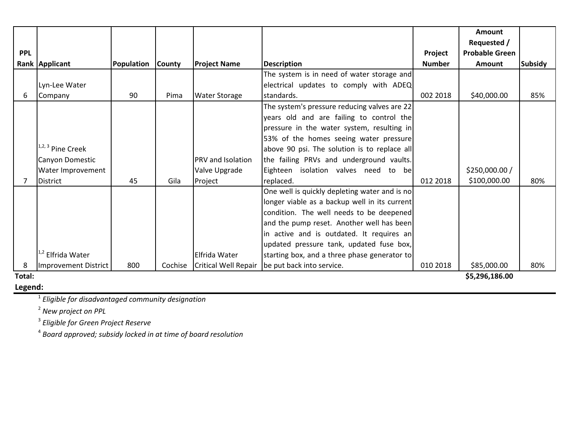|            |                              |                   |               |                             |                                               |               | Amount                |         |
|------------|------------------------------|-------------------|---------------|-----------------------------|-----------------------------------------------|---------------|-----------------------|---------|
|            |                              |                   |               |                             |                                               |               | Requested /           |         |
| <b>PPL</b> |                              |                   |               |                             |                                               | Project       | <b>Probable Green</b> |         |
|            | Rank Applicant               | <b>Population</b> | <b>County</b> | <b>Project Name</b>         | <b>Description</b>                            | <b>Number</b> | Amount                | Subsidy |
|            |                              |                   |               |                             | The system is in need of water storage and    |               |                       |         |
|            | Lyn-Lee Water                |                   |               |                             | electrical updates to comply with ADEQ        |               |                       |         |
| 6          | Company                      | 90                | Pima          | <b>Water Storage</b>        | standards.                                    | 002 2018      | \$40,000.00           | 85%     |
|            |                              |                   |               |                             | The system's pressure reducing valves are 22  |               |                       |         |
|            |                              |                   |               |                             | years old and are failing to control the      |               |                       |         |
|            |                              |                   |               |                             | pressure in the water system, resulting in    |               |                       |         |
|            |                              |                   |               |                             | 53% of the homes seeing water pressure        |               |                       |         |
|            | $1,2,3$ Pine Creek           |                   |               |                             | above 90 psi. The solution is to replace all  |               |                       |         |
|            | Canyon Domestic              |                   |               | PRV and Isolation           | the failing PRVs and underground vaults.      |               |                       |         |
|            | Water Improvement            |                   |               | Valve Upgrade               | Eighteen isolation valves need to be          |               | \$250,000.00 /        |         |
|            | District                     | 45                | Gila          | Project                     | replaced.                                     | 012 2018      | \$100,000.00          | 80%     |
|            |                              |                   |               |                             | One well is quickly depleting water and is no |               |                       |         |
|            |                              |                   |               |                             | longer viable as a backup well in its current |               |                       |         |
|            |                              |                   |               |                             | condition. The well needs to be deepened      |               |                       |         |
|            |                              |                   |               |                             | and the pump reset. Another well has been     |               |                       |         |
|            |                              |                   |               |                             | in active and is outdated. It requires an     |               |                       |         |
|            |                              |                   |               |                             | updated pressure tank, updated fuse box,      |               |                       |         |
|            | <sup>1,2</sup> Elfrida Water |                   |               | Elfrida Water               | starting box, and a three phase generator to  |               |                       |         |
| 8          | Improvement District         | 800               | Cochise       | <b>Critical Well Repair</b> | be put back into service.                     | 010 2018      | \$85,000.00           | 80%     |
| Total:     |                              |                   |               |                             |                                               |               | \$5,296,186.00        |         |

### **Legend:**

<sup>1</sup> *Eligible for disadvantaged community designation*

<sup>2</sup> *New project on PPL*

<sup>3</sup> *Eligible for Green Project Reserve*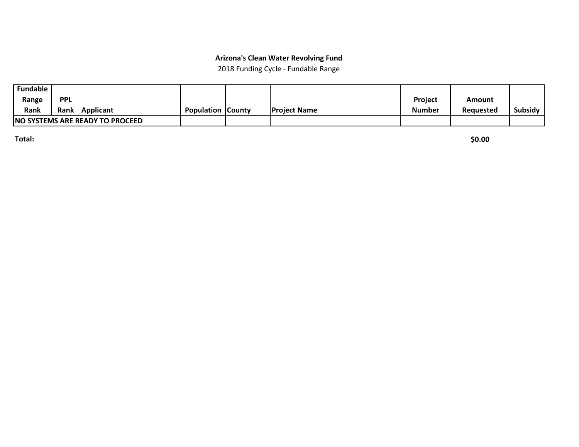2018 Funding Cycle - Fundable Range

| <b>Fundable</b>                  |             |           |                          |                      |                |           |         |
|----------------------------------|-------------|-----------|--------------------------|----------------------|----------------|-----------|---------|
| Range                            | <b>PPL</b>  |           |                          |                      | <b>Project</b> | Amount    |         |
| <b>Rank</b>                      | <b>Rank</b> | Applicant | <b>Population County</b> | <b>IProject Name</b> | <b>Number</b>  | Reauested | Subsidy |
| INO SYSTEMS ARE READY TO PROCEED |             |           |                          |                      |                |           |         |

**Total: \$0.00**